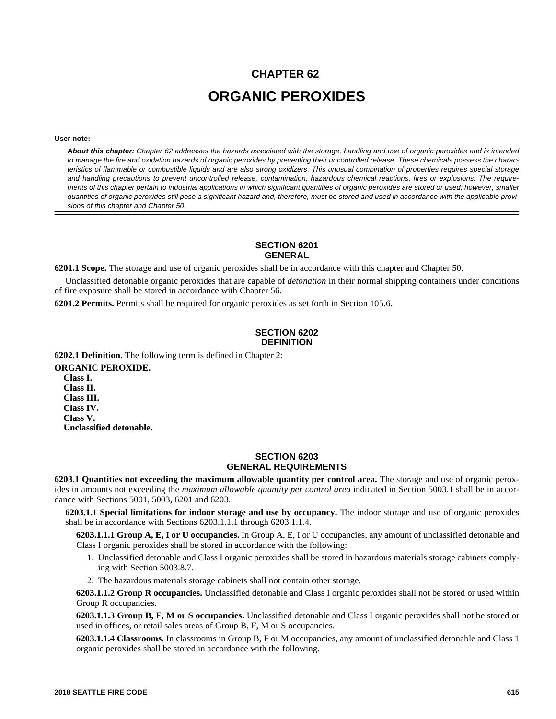# **CHAPTER 62 ORGANIC PEROXIDES**

### **User note:**

*About this chapter: Chapter 62 addresses the hazards associated with the storage, handling and use of organic peroxides and is intended to manage the fire and oxidation hazards of organic peroxides by preventing their uncontrolled release. These chemicals possess the characteristics of flammable or combustible liquids and are also strong oxidizers. This unusual combination of properties requires special storage and handling precautions to prevent uncontrolled release, contamination, hazardous chemical reactions, fires or explosions. The requirements of this chapter pertain to industrial applications in which significant quantities of organic peroxides are stored or used; however, smaller quantities of organic peroxides still pose a significant hazard and, therefore, must be stored and used in accordance with the applicable provisions of this chapter and Chapter 50.*

# **SECTION 6201 GENERAL**

**6201.1 Scope.** The storage and use of organic peroxides shall be in accordance with this chapter and Chapter 50.

Unclassified detonable organic peroxides that are capable of *detonation* in their normal shipping containers under conditions of fire exposure shall be stored in accordance with Chapter 56.

**6201.2 Permits.** Permits shall be required for organic peroxides as set forth in Section 105.6.

# **SECTION 6202 DEFINITION**

**6202.1 Definition.** The following term is defined in Chapter 2:

**ORGANIC PEROXIDE. Class I. Class II. Class III. Class IV. Class V. Unclassified detonable.**

# **SECTION 6203 GENERAL REQUIREMENTS**

**6203.1 Quantities not exceeding the maximum allowable quantity per control area.** The storage and use of organic peroxides in amounts not exceeding the *maximum allowable quantity per control area* indicated in Section 5003.1 shall be in accordance with Sections 5001, 5003, 6201 and 6203.

**6203.1.1 Special limitations for indoor storage and use by occupancy.** The indoor storage and use of organic peroxides shall be in accordance with Sections 6203.1.1.1 through 6203.1.1.4.

**6203.1.1.1 Group A, E, I or U occupancies.** In Group A, E, I or U occupancies, any amount of unclassified detonable and Class I organic peroxides shall be stored in accordance with the following:

- 1. Unclassified detonable and Class I organic peroxides shall be stored in hazardous materials storage cabinets complying with Section 5003.8.7.
- 2. The hazardous materials storage cabinets shall not contain other storage.

**6203.1.1.2 Group R occupancies.** Unclassified detonable and Class I organic peroxides shall not be stored or used within Group R occupancies.

**6203.1.1.3 Group B, F, M or S occupancies.** Unclassified detonable and Class I organic peroxides shall not be stored or used in offices, or retail sales areas of Group B, F, M or S occupancies.

**6203.1.1.4 Classrooms.** In classrooms in Group B, F or M occupancies, any amount of unclassified detonable and Class 1 organic peroxides shall be stored in accordance with the following.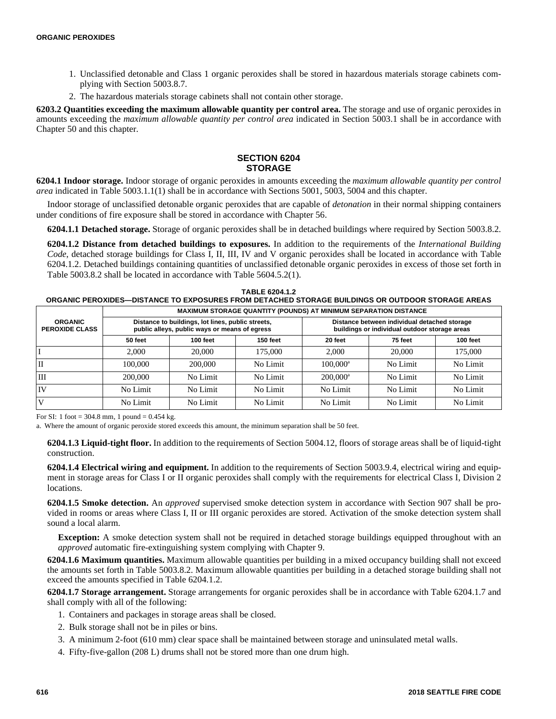- 1. Unclassified detonable and Class 1 organic peroxides shall be stored in hazardous materials storage cabinets complying with Section 5003.8.7.
- 2. The hazardous materials storage cabinets shall not contain other storage.

**6203.2 Quantities exceeding the maximum allowable quantity per control area.** The storage and use of organic peroxides in amounts exceeding the *maximum allowable quantity per control area* indicated in Section 5003.1 shall be in accordance with Chapter 50 and this chapter.

## **SECTION 6204 STORAGE**

**6204.1 Indoor storage.** Indoor storage of organic peroxides in amounts exceeding the *maximum allowable quantity per control area* indicated in Table 5003.1.1(1) shall be in accordance with Sections 5001, 5003, 5004 and this chapter.

Indoor storage of unclassified detonable organic peroxides that are capable of *detonation* in their normal shipping containers under conditions of fire exposure shall be stored in accordance with Chapter 56.

**6204.1.1 Detached storage.** Storage of organic peroxides shall be in detached buildings where required by Section 5003.8.2.

**6204.1.2 Distance from detached buildings to exposures.** In addition to the requirements of the *International Building Code*, detached storage buildings for Class I, II, III, IV and V organic peroxides shall be located in accordance with Table 6204.1.2. Detached buildings containing quantities of unclassified detonable organic peroxides in excess of those set forth in Table 5003.8.2 shall be located in accordance with Table 5604.5.2(1).

### **TABLE 6204.1.2 ORGANIC PEROXIDES—DISTANCE TO EXPOSURES FROM DETACHED STORAGE BUILDINGS OR OUTDOOR STORAGE AREAS MAXIMUM STORAGE QUANTITY (POUNDS) AT MINIMUM SEPARATION DISTANCE**

|                                         | <b>MAAMOM OTORAGE WOARTH ITT OUNDOTAT MINIMUM OLI ARATION DIOTARGE</b>                             |          |                 |                                                                                               |          |          |  |  |
|-----------------------------------------|----------------------------------------------------------------------------------------------------|----------|-----------------|-----------------------------------------------------------------------------------------------|----------|----------|--|--|
| <b>ORGANIC</b><br><b>PEROXIDE CLASS</b> | Distance to buildings, lot lines, public streets,<br>public alleys, public ways or means of egress |          |                 | Distance between individual detached storage<br>buildings or individual outdoor storage areas |          |          |  |  |
|                                         | 50 feet                                                                                            | 100 feet | <b>150 feet</b> | 20 feet                                                                                       | 75 feet  | 100 feet |  |  |
|                                         | 2.000                                                                                              | 20,000   | 175,000         | 2.000                                                                                         | 20,000   | 175,000  |  |  |
| IІ                                      | 100,000                                                                                            | 200,000  | No Limit        | $100.000^a$                                                                                   | No Limit | No Limit |  |  |
| III                                     | 200,000                                                                                            | No Limit | No Limit        | $200.000$ <sup>a</sup>                                                                        | No Limit | No Limit |  |  |
| <b>IV</b>                               | No Limit                                                                                           | No Limit | No Limit        | No Limit                                                                                      | No Limit | No Limit |  |  |
| l V                                     | No Limit                                                                                           | No Limit | No Limit        | No Limit                                                                                      | No Limit | No Limit |  |  |

For SI: 1 foot = 304.8 mm, 1 pound = 0.454 kg.

a. Where the amount of organic peroxide stored exceeds this amount, the minimum separation shall be 50 feet.

**6204.1.3 Liquid-tight floor.** In addition to the requirements of Section 5004.12, floors of storage areas shall be of liquid-tight construction.

**6204.1.4 Electrical wiring and equipment.** In addition to the requirements of Section 5003.9.4, electrical wiring and equipment in storage areas for Class I or II organic peroxides shall comply with the requirements for electrical Class I, Division 2 locations.

**6204.1.5 Smoke detection.** An *approved* supervised smoke detection system in accordance with Section 907 shall be provided in rooms or areas where Class I, II or III organic peroxides are stored. Activation of the smoke detection system shall sound a local alarm.

**Exception:** A smoke detection system shall not be required in detached storage buildings equipped throughout with an *approved* automatic fire-extinguishing system complying with Chapter 9.

**6204.1.6 Maximum quantities.** Maximum allowable quantities per building in a mixed occupancy building shall not exceed the amounts set forth in Table 5003.8.2. Maximum allowable quantities per building in a detached storage building shall not exceed the amounts specified in Table 6204.1.2.

**6204.1.7 Storage arrangement.** Storage arrangements for organic peroxides shall be in accordance with Table 6204.1.7 and shall comply with all of the following:

- 1. Containers and packages in storage areas shall be closed.
- 2. Bulk storage shall not be in piles or bins.
- 3. A minimum 2-foot (610 mm) clear space shall be maintained between storage and uninsulated metal walls.
- 4. Fifty-five-gallon (208 L) drums shall not be stored more than one drum high.